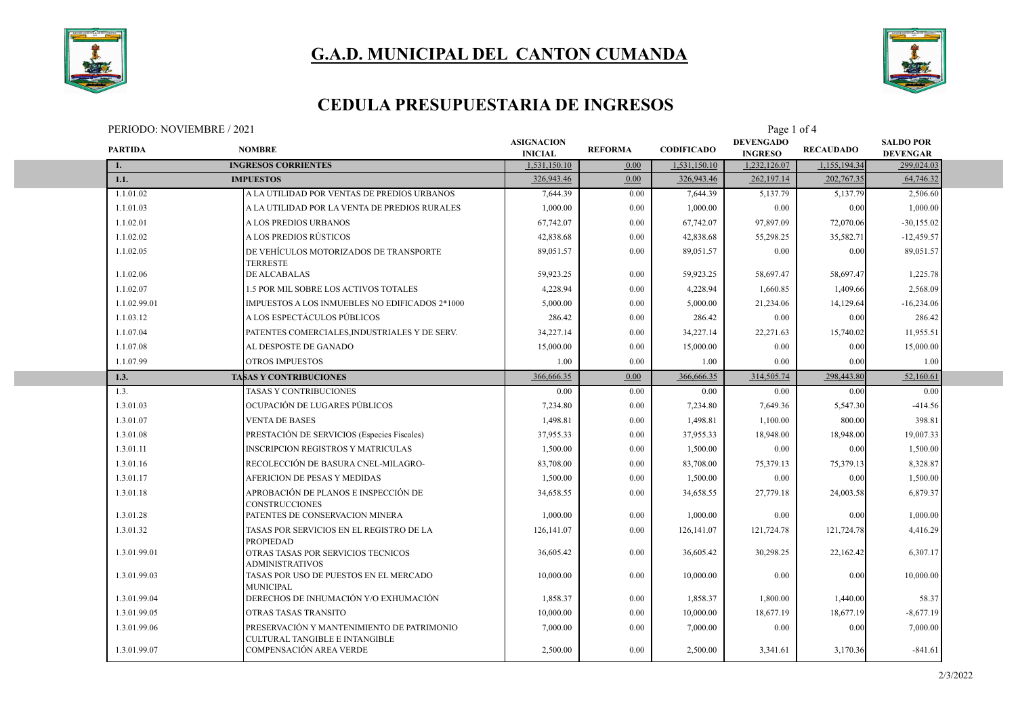



### **CEDULA PRESUPUESTARIA DE INGRESOS**

PERIODO: NOVIEMBRE / 2021 Page 1 of 4

| <b>PARTIDA</b> | <b>NOMBRE</b>                                                                | <b>ASIGNACION</b><br><b>INICIAL</b> | <b>REFORMA</b> | <b>CODIFICADO</b> | <b>DEVENGADO</b><br><b>INGRESO</b> | <b>RECAUDADO</b> | <b>SALDO POR</b><br><b>DEVENGAR</b> |  |
|----------------|------------------------------------------------------------------------------|-------------------------------------|----------------|-------------------|------------------------------------|------------------|-------------------------------------|--|
| 1.             | <b>INGRESOS CORRIENTES</b>                                                   | 1,531,150.10                        | 0.00           | 1.531.150.10      | 1,232,126.07                       | 1.155.194.34     | 299,024.03                          |  |
| 1.1.           | <b>IMPUESTOS</b>                                                             | 326,943.46                          | 0.00           | 326,943.46        | 262,197.14                         | 202,767.35       | 64,746.32                           |  |
| 1.1.01.02      | A LA UTILIDAD POR VENTAS DE PREDIOS URBANOS                                  | 7,644.39                            | 0.00           | 7,644.39          | 5,137.79                           | 5,137.79         | 2,506.60                            |  |
| 1.1.01.03      | A LA UTILIDAD POR LA VENTA DE PREDIOS RURALES                                | 1,000.00                            | 0.00           | 1,000.00          | 0.00                               | 0.00             | 1,000.00                            |  |
| 1.1.02.01      | A LOS PREDIOS URBANOS                                                        | 67,742.07                           | 0.00           | 67,742.07         | 97,897.09                          | 72,070.06        | $-30,155.02$                        |  |
| 1.1.02.02      | A LOS PREDIOS RÚSTICOS                                                       | 42,838.68                           | 0.00           | 42,838.68         | 55,298.25                          | 35,582.71        | $-12,459.57$                        |  |
| 1.1.02.05      | DE VEHÍCULOS MOTORIZADOS DE TRANSPORTE<br>TERRESTE                           | 89.051.57                           | 0.00           | 89,051.57         | 0.00                               | 0.00             | 89,051.57                           |  |
| 1.1.02.06      | <b>DE ALCABALAS</b>                                                          | 59,923.25                           | 0.00           | 59,923.25         | 58,697.47                          | 58,697.47        | 1,225.78                            |  |
| 1.1.02.07      | 1.5 POR MIL SOBRE LOS ACTIVOS TOTALES                                        | 4,228.94                            | 0.00           | 4,228.94          | 1.660.85                           | 1,409.66         | 2,568.09                            |  |
| 1.1.02.99.01   | IMPUESTOS A LOS INMUEBLES NO EDIFICADOS 2*1000                               | 5,000.00                            | 0.00           | 5,000.00          | 21,234.06                          | 14,129.64        | $-16,234.06$                        |  |
| 1.1.03.12      | A LOS ESPECTÁCULOS PÚBLICOS                                                  | 286.42                              | 0.00           | 286.42            | 0.00                               | 0.00             | 286.42                              |  |
| 1.1.07.04      | PATENTES COMERCIALES, INDUSTRIALES Y DE SERV.                                | 34,227.14                           | 0.00           | 34,227.14         | 22,271.63                          | 15,740.02        | 11,955.51                           |  |
| 1.1.07.08      | AL DESPOSTE DE GANADO                                                        | 15,000.00                           | 0.00           | 15,000.00         | 0.00                               | 0.00             | 15,000.00                           |  |
| 1.1.07.99      | <b>OTROS IMPUESTOS</b>                                                       | 1.00                                | 0.00           | 1.00              | 0.00                               | 0.00             | 1.00                                |  |
| 1.3.           | <b>TABAS Y CONTRIBUCIONES</b>                                                | 366,666.35                          | 0.00           | 366,666.35        | 314,505.74                         | 298,443.80       | 52,160.61                           |  |
| 1.3.           | <b>TASAS Y CONTRIBUCIONES</b>                                                | 0.00                                | 0.00           | 0.00              | 0.00                               | 0.00             | 0.00                                |  |
| 1.3.01.03      | OCUPACIÓN DE LUGARES PÚBLICOS                                                | 7,234.80                            | 0.00           | 7,234.80          | 7,649.36                           | 5,547.30         | $-414.56$                           |  |
| 1.3.01.07      | <b>VENTA DE BASES</b>                                                        | 1,498.81                            | 0.00           | 1,498.81          | 1,100.00                           | 800.00           | 398.81                              |  |
| 1.3.01.08      | PRESTACIÓN DE SERVICIOS (Especies Fiscales)                                  | 37,955.33                           | 0.00           | 37,955.33         | 18,948.00                          | 18,948.00        | 19,007.33                           |  |
| 1.3.01.11      | <b>INSCRIPCION REGISTROS Y MATRICULAS</b>                                    | 1,500.00                            | 0.00           | 1,500.00          | 0.00                               | 0.00             | 1,500.00                            |  |
| 1.3.01.16      | RECOLECCIÓN DE BASURA CNEL-MILAGRO-                                          | 83,708.00                           | 0.00           | 83,708.00         | 75,379.13                          | 75,379.13        | 8,328.87                            |  |
| 1.3.01.17      | AFERICION DE PESAS Y MEDIDAS                                                 | 1,500.00                            | 0.00           | 1,500.00          | 0.00                               | 0.00             | 1,500.00                            |  |
| 1.3.01.18      | APROBACIÓN DE PLANOS E INSPECCIÓN DE<br><b>CONSTRUCCIONES</b>                | 34,658.55                           | 0.00           | 34,658.55         | 27,779.18                          | 24,003.58        | 6,879.37                            |  |
| 1.3.01.28      | PATENTES DE CONSERVACION MINERA                                              | 1,000.00                            | 0.00           | 1,000.00          | 0.00                               | 0.00             | 1,000.00                            |  |
| 1.3.01.32      | TASAS POR SERVICIOS EN EL REGISTRO DE LA<br><b>PROPIEDAD</b>                 | 126,141.07                          | 0.00           | 126,141.07        | 121,724.78                         | 121,724.78       | 4,416.29                            |  |
| 1.3.01.99.01   | OTRAS TASAS POR SERVICIOS TECNICOS<br><b>ADMINISTRATIVOS</b>                 | 36,605.42                           | 0.00           | 36,605.42         | 30,298.25                          | 22,162.42        | 6,307.17                            |  |
| 1.3.01.99.03   | TASAS POR USO DE PUESTOS EN EL MERCADO<br><b>MUNICIPAL</b>                   | 10,000.00                           | 0.00           | 10,000.00         | 0.00                               | 0.00             | 10,000.00                           |  |
| 1.3.01.99.04   | DERECHOS DE INHUMACIÓN Y/O EXHUMACIÓN                                        | 1,858.37                            | 0.00           | 1,858.37          | 1,800.00                           | 1,440.00         | 58.37                               |  |
| 1.3.01.99.05   | OTRAS TASAS TRANSITO                                                         | 10,000.00                           | 0.00           | 10,000.00         | 18,677.19                          | 18,677.19        | $-8,677.19$                         |  |
| 1.3.01.99.06   | PRESERVACIÓN Y MANTENIMIENTO DE PATRIMONIO<br>CULTURAL TANGIBLE E INTANGIBLE | 7,000.00                            | 0.00           | 7,000.00          | 0.00                               | 0.00             | 7,000.00                            |  |
| 1.3.01.99.07   | COMPENSACIÓN AREA VERDE                                                      | 2,500.00                            | 0.00           | 2,500.00          | 3,341.61                           | 3,170.36         | $-841.61$                           |  |
|                |                                                                              |                                     |                |                   |                                    |                  |                                     |  |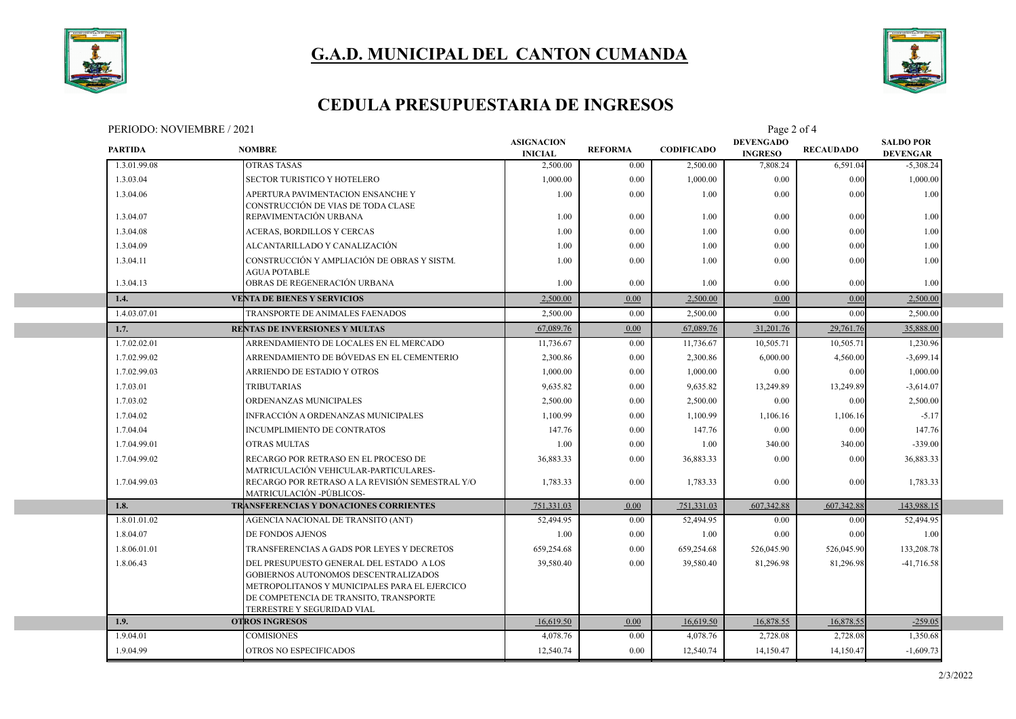



#### **CEDULA PRESUPUESTARIA DE INGRESOS**

PERIODO: NOVIEMBRE / 2021 Page 2 of 4

| <b>PARTIDA</b> | 1 ENIODO. INO VIENIDINE / 2021<br><b>NOMBRE</b>                                                                                                                                                           | <b>ASIGNACION</b><br><b>INICIAL</b> | <b>REFORMA</b> | <b>CODIFICADO</b> | $1$ agu $\angle$ 01 $\pm$<br><b>DEVENGADO</b><br><b>INGRESO</b> | <b>RECAUDADO</b> | <b>SALDO POR</b><br><b>DEVENGAR</b> |  |
|----------------|-----------------------------------------------------------------------------------------------------------------------------------------------------------------------------------------------------------|-------------------------------------|----------------|-------------------|-----------------------------------------------------------------|------------------|-------------------------------------|--|
| 1.3.01.99.08   | <b>OTRAS TASAS</b>                                                                                                                                                                                        | 2,500.00                            | 0.00           | 2,500.00          | 7,808.24                                                        | 6,591.04         | $-5,308.24$                         |  |
| 1.3.03.04      | <b>SECTOR TURISTICO Y HOTELERO</b>                                                                                                                                                                        | 1,000.00                            | 0.00           | 1,000.00          | 0.00                                                            | 0.00             | 1,000.00                            |  |
| 1.3.04.06      | APERTURA PAVIMENTACION ENSANCHE Y<br>CONSTRUCCIÓN DE VIAS DE TODA CLASE                                                                                                                                   | 1.00                                | 0.00           | 1.00              | 0.00                                                            | 0.00             | 1.00                                |  |
| 1.3.04.07      | REPAVIMENTACIÓN URBANA                                                                                                                                                                                    | 1.00                                | 0.00           | 1.00              | 0.00                                                            | 0.00             | 1.00                                |  |
| 1.3.04.08      | ACERAS, BORDILLOS Y CERCAS                                                                                                                                                                                | 1.00                                | 0.00           | 1.00              | 0.00                                                            | 0.00             | 1.00                                |  |
| 1.3.04.09      | ALCANTARILLADO Y CANALIZACIÓN                                                                                                                                                                             | 1.00                                | 0.00           | 1.00              | 0.00                                                            | 0.00             | 1.00                                |  |
| 1.3.04.11      | CONSTRUCCIÓN Y AMPLIACIÓN DE OBRAS Y SISTM.<br><b>AGUA POTABLE</b>                                                                                                                                        | 1.00                                | 0.00           | 1.00              | 0.00                                                            | 0.00             | 1.00                                |  |
| 1.3.04.13      | OBRAS DE REGENERACIÓN URBANA                                                                                                                                                                              | 1.00                                | 0.00           | 1.00              | 0.00                                                            | 0.00             | 1.00                                |  |
| 1.4.           | <b>VENTA DE BIENES Y SERVICIOS</b>                                                                                                                                                                        | 2,500.00                            | 0.00           | 2,500.00          | 0.00                                                            | 0.00             | 2,500.00                            |  |
| 1.4.03.07.01   | TRANSPORTE DE ANIMALES FAENADOS                                                                                                                                                                           | 2,500.00                            | 0.00           | 2,500.00          | 0.00                                                            | 0.00             | 2,500.00                            |  |
| 1.7.           | RENTAS DE INVERSIONES Y MULTAS                                                                                                                                                                            | 67,089.76                           | 0.00           | 67,089.76         | 31,201.76                                                       | 29,761.76        | 35,888.00                           |  |
| 1.7.02.02.01   | ARRENDAMIENTO DE LOCALES EN EL MERCADO                                                                                                                                                                    | 11,736.67                           | 0.00           | 11,736.67         | 10,505.71                                                       | 10,505.71        | 1,230.96                            |  |
| 1.7.02.99.02   | ARRENDAMIENTO DE BÓVEDAS EN EL CEMENTERIO                                                                                                                                                                 | 2,300.86                            | 0.00           | 2,300.86          | 6,000.00                                                        | 4,560.00         | $-3,699.14$                         |  |
| 1.7.02.99.03   | ARRIENDO DE ESTADIO Y OTROS                                                                                                                                                                               | 1,000.00                            | 0.00           | 1,000.00          | 0.00                                                            | 0.00             | 1,000.00                            |  |
| 1.7.03.01      | <b>TRIBUTARIAS</b>                                                                                                                                                                                        | 9,635.82                            | 0.00           | 9,635.82          | 13,249.89                                                       | 13,249.89        | $-3,614.07$                         |  |
| 1.7.03.02      | ORDENANZAS MUNICIPALES                                                                                                                                                                                    | 2,500.00                            | 0.00           | 2,500.00          | 0.00                                                            | 0.00             | 2,500.00                            |  |
| 1.7.04.02      | INFRACCIÓN A ORDENANZAS MUNICIPALES                                                                                                                                                                       | 1,100.99                            | 0.00           | 1,100.99          | 1,106.16                                                        | 1,106.16         | $-5.17$                             |  |
| 1.7.04.04      | INCUMPLIMIENTO DE CONTRATOS                                                                                                                                                                               | 147.76                              | 0.00           | 147.76            | 0.00                                                            | 0.00             | 147.76                              |  |
| 1.7.04.99.01   | OTRAS MULTAS                                                                                                                                                                                              | 1.00                                | $0.00\,$       | 1.00              | 340.00                                                          | 340.00           | $-339.00$                           |  |
| 1.7.04.99.02   | RECARGO POR RETRASO EN EL PROCESO DE<br>MATRICULACIÓN VEHICULAR-PARTICULARES-                                                                                                                             | 36,883.33                           | 0.00           | 36,883.33         | 0.00                                                            | 0.00             | 36,883.33                           |  |
| 1.7.04.99.03   | RECARGO POR RETRASO A LA REVISIÓN SEMESTRAL Y/O<br>MATRICULACIÓN -PÚBLICOS-                                                                                                                               | 1,783.33                            | 0.00           | 1,783.33          | 0.00                                                            | 0.00             | 1,783.33                            |  |
| 1.8.           | TRANSFERENCIAS Y DONACIONES CORRIENTES                                                                                                                                                                    | 751,331.03                          | 0.00           | 751,331.03        | 607,342.88                                                      | 607,342.88       | 143,988.15                          |  |
| 1.8.01.01.02   | AGENCIA NACIONAL DE TRANSITO (ANT)                                                                                                                                                                        | 52,494.95                           | $0.00\,$       | 52,494.95         | 0.00                                                            | 0.00             | 52,494.95                           |  |
| 1.8.04.07      | DE FONDOS AJENOS                                                                                                                                                                                          | 1.00                                | 0.00           | 1.00              | 0.00                                                            | 0.00             | 1.00                                |  |
| 1.8.06.01.01   | TRANSFERENCIAS A GADS POR LEYES Y DECRETOS                                                                                                                                                                | 659,254.68                          | 0.00           | 659.254.68        | 526,045.90                                                      | 526,045.90       | 133,208.78                          |  |
| 1.8.06.43      | DEL PRESUPUESTO GENERAL DEL ESTADO A LOS<br>GOBIERNOS AUTONOMOS DESCENTRALIZADOS<br>METROPOLITANOS Y MUNICIPALES PARA EL EJERCICO<br>DE COMPETENCIA DE TRANSITO, TRANSPORTE<br>TERRESTRE Y SEGURIDAD VIAL | 39,580.40                           | 0.00           | 39,580.40         | 81.296.98                                                       | 81,296.98        | $-41,716.58$                        |  |
| 1.9.           | <b>OTROS INGRESOS</b>                                                                                                                                                                                     | 16,619.50                           | 0.00           | 16,619.50         | 16,878.55                                                       | 16,878.55        | $-259.05$                           |  |
| 1.9.04.01      | <b>COMISIONES</b>                                                                                                                                                                                         | 4,078.76                            | 0.00           | 4,078.76          | 2,728.08                                                        | 2,728.08         | 1,350.68                            |  |
| 1.9.04.99      | OTROS NO ESPECIFICADOS                                                                                                                                                                                    | 12,540.74                           | 0.00           | 12,540.74         | 14,150.47                                                       | 14,150.47        | $-1,609.73$                         |  |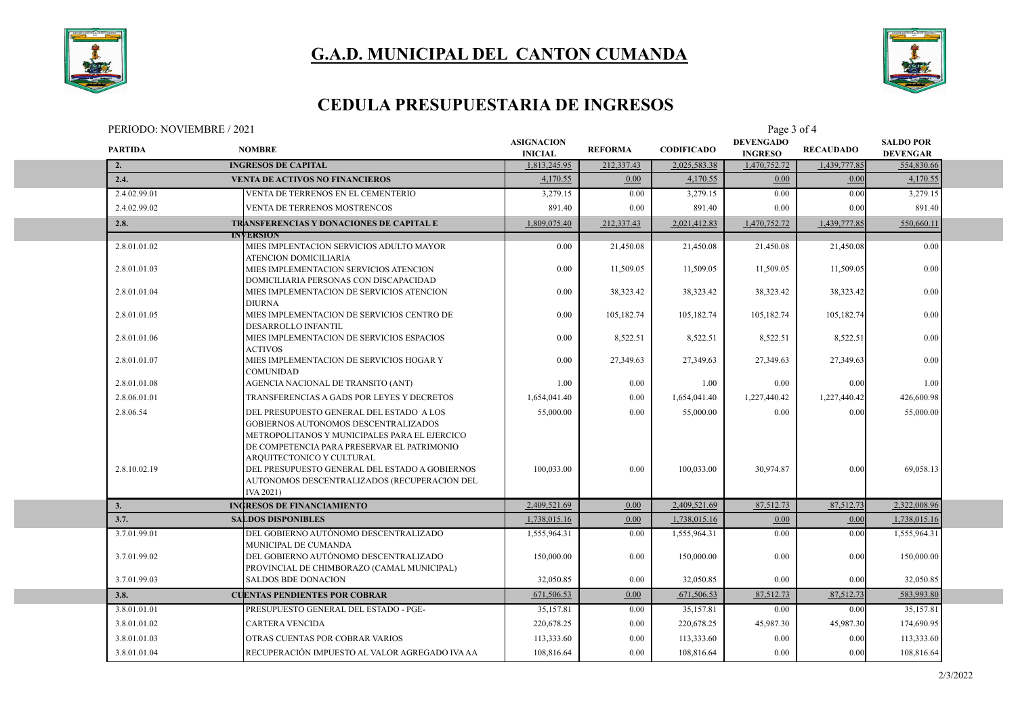



### **CEDULA PRESUPUESTARIA DE INGRESOS**

| PERIODO: NOVIEMBRE / 2021 | Page $\overline{\phantom{a}}$ |
|---------------------------|-------------------------------|
|                           | i ot 4                        |

| <b>PARTIDA</b> | <b>NOMBRE</b>                                                                                                                                                                                                 | <b>ASIGNACION</b><br><b>INICIAL</b> | <b>REFORMA</b> | <b>CODIFICADO</b> | <b>DEVENGADO</b><br><b>INGRESO</b> | <b>RECAUDADO</b> | <b>SALDO POR</b><br><b>DEVENGAR</b> |  |
|----------------|---------------------------------------------------------------------------------------------------------------------------------------------------------------------------------------------------------------|-------------------------------------|----------------|-------------------|------------------------------------|------------------|-------------------------------------|--|
| 2.             | <b>INGRESOS DE CAPITAL</b>                                                                                                                                                                                    | 1,813,245.95                        | 212,337.43     | 2,025,583.38      | 1,470,752.72                       | 1,439,777.85     | 554,830.66                          |  |
| 2.4.           | <b>VENTA DE ACTIVOS NO FINANCIEROS</b>                                                                                                                                                                        | 4,170.55                            | 0.00           | 4,170.55          | 0.00                               | 0.00             | 4,170.55                            |  |
| 2.4.02.99.01   | VENTA DE TERRENOS EN EL CEMENTERIO                                                                                                                                                                            | 3,279.15                            | 0.00           | 3,279.15          | 0.00                               | 0.00             | 3,279.15                            |  |
| 2.4.02.99.02   | VENTA DE TERRENOS MOSTRENCOS                                                                                                                                                                                  | 891.40                              | 0.00           | 891.40            | 0.00                               | 0.00             | 891.40                              |  |
| 2.8.           | TRANSFERENCIAS Y DONACIONES DE CAPITAL E                                                                                                                                                                      | 1,809,075.40                        | 212,337.43     | 2,021,412.83      | 1,470,752.72                       | 1,439,777.85     | 550,660.11                          |  |
|                | <b>INVERSION</b>                                                                                                                                                                                              |                                     |                |                   |                                    |                  |                                     |  |
| 2.8.01.01.02   | MIES IMPLENTACION SERVICIOS ADULTO MAYOR<br>ATENCION DOMICILIARIA                                                                                                                                             | 0.00                                | 21,450.08      | 21,450.08         | 21,450.08                          | 21,450.08        | 0.00                                |  |
| 2.8.01.01.03   | MIES IMPLEMENTACION SERVICIOS ATENCION<br>DOMICILIARIA PERSONAS CON DISCAPACIDAD                                                                                                                              | 0.00                                | 11,509.05      | 11,509.05         | 11,509.05                          | 11,509.05        | 0.00                                |  |
| 2.8.01.01.04   | MIES IMPLEMENTACION DE SERVICIOS ATENCION<br><b>DIURNA</b>                                                                                                                                                    | 0.00                                | 38,323.42      | 38,323.42         | 38,323.42                          | 38,323.42        | 0.00                                |  |
| 2.8.01.01.05   | MIES IMPLEMENTACION DE SERVICIOS CENTRO DE<br>DESARROLLO INFANTIL                                                                                                                                             | 0.00                                | 105,182.74     | 105,182.74        | 105,182.74                         | 105,182.74       | 0.00                                |  |
| 2.8.01.01.06   | MIES IMPLEMENTACION DE SERVICIOS ESPACIOS<br><b>ACTIVOS</b>                                                                                                                                                   | 0.00                                | 8,522.51       | 8,522.51          | 8,522.51                           | 8,522.51         | 0.00                                |  |
| 2.8.01.01.07   | MIES IMPLEMENTACION DE SERVICIOS HOGAR Y<br><b>COMUNIDAD</b>                                                                                                                                                  | 0.00                                | 27,349.63      | 27,349.63         | 27,349.63                          | 27,349.63        | 0.00                                |  |
| 2.8.01.01.08   | AGENCIA NACIONAL DE TRANSITO (ANT)                                                                                                                                                                            | 1.00                                | 0.00           | 1.00              | 0.00                               | 0.00             | 1.00                                |  |
| 2.8.06.01.01   | TRANSFERENCIAS A GADS POR LEYES Y DECRETOS                                                                                                                                                                    | 1,654,041.40                        | 0.00           | 1,654,041.40      | 1,227,440.42                       | 1,227,440.42     | 426,600.98                          |  |
| 2.8.06.54      | DEL PRESUPUESTO GENERAL DEL ESTADO A LOS<br>GOBIERNOS AUTONOMOS DESCENTRALIZADOS<br>METROPOLITANOS Y MUNICIPALES PARA EL EJERCICO<br>DE COMPETENCIA PARA PRESERVAR EL PATRIMONIO<br>ARQUITECTONICO Y CULTURAL | 55,000.00                           | 0.00           | 55,000.00         | 0.00                               | 0.00             | 55,000.00                           |  |
| 2.8.10.02.19   | DEL PRESUPUESTO GENERAL DEL ESTADO A GOBIERNOS<br>AUTONOMOS DESCENTRALIZADOS (RECUPERACION DEL<br>IVA 2021)                                                                                                   | 100,033.00                          | 0.00           | 100,033.00        | 30.974.87                          | 0.00             | 69,058.13                           |  |
| 3.             | <b>INGRESOS DE FINANCIAMIENTO</b>                                                                                                                                                                             | 2,409,521.69                        | 0.00           | 2,409,521.69      | 87,512.73                          | 87,512.73        | 2,322,008.96                        |  |
| 3.7.           | <b>SALDOS DISPONIBLES</b>                                                                                                                                                                                     | 1,738,015.16                        | 0.00           | 1,738,015.16      | 0.00                               | 0.00             | 1,738,015.16                        |  |
| 3.7.01.99.01   | DEL GOBIERNO AUTÓNOMO DESCENTRALIZADO<br>MUNICIPAL DE CUMANDA                                                                                                                                                 | 1,555,964.31                        | 0.00           | 1,555,964.31      | 0.00                               | 0.00             | 1,555,964.31                        |  |
| 3.7.01.99.02   | DEL GOBIERNO AUTÓNOMO DESCENTRALIZADO<br>PROVINCIAL DE CHIMBORAZO (CAMAL MUNICIPAL)                                                                                                                           | 150,000.00                          | 0.00           | 150,000.00        | 0.00                               | 0.00             | 150,000.00                          |  |
| 3.7.01.99.03   | <b>SALDOS BDE DONACION</b>                                                                                                                                                                                    | 32,050.85                           | 0.00           | 32,050.85         | 0.00                               | 0.00             | 32,050.85                           |  |
| 3.8.           | <b>CUENTAS PENDIENTES POR COBRAR</b>                                                                                                                                                                          | 671,506.53                          | 0.00           | 671,506.53        | 87,512.73                          | 87,512.73        | 583,993.80                          |  |
| 3.8.01.01.01   | PRESUPUESTO GENERAL DEL ESTADO - PGE-                                                                                                                                                                         | 35,157.81                           | 0.00           | 35,157.81         | 0.00                               | 0.00             | 35,157.81                           |  |
| 3.8.01.01.02   | <b>CARTERA VENCIDA</b>                                                                                                                                                                                        | 220,678.25                          | 0.00           | 220,678.25        | 45,987.30                          | 45,987.30        | 174,690.95                          |  |
| 3.8.01.01.03   | OTRAS CUENTAS POR COBRAR VARIOS                                                                                                                                                                               | 113,333.60                          | 0.00           | 113,333.60        | 0.00                               | 0.00             | 113,333.60                          |  |
| 3.8.01.01.04   | RECUPERACIÓN IMPUESTO AL VALOR AGREGADO IVA AA                                                                                                                                                                | 108,816.64                          | 0.00           | 108,816.64        | 0.00                               | 0.00             | 108,816.64                          |  |
|                |                                                                                                                                                                                                               |                                     |                |                   |                                    |                  |                                     |  |